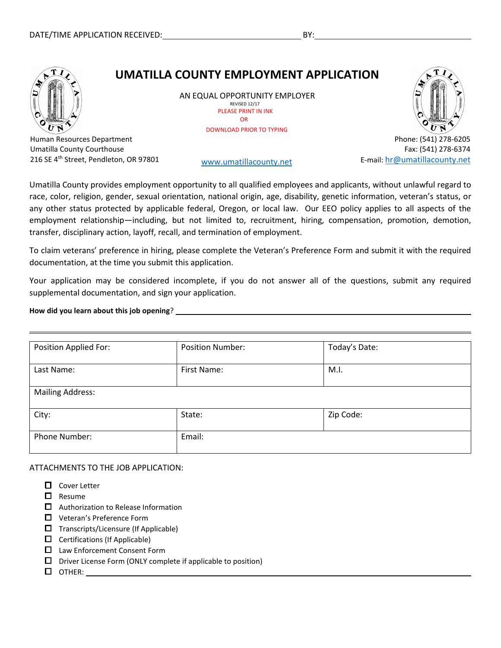# **UMATILLA COUNTY EMPLOYMENT APPLICATION**

AN EQUAL OPPORTUNITY EMPLOYER REVISED 12/17 PLEASE PRINT IN INK OR DOWNLOAD PRIOR TO TYPING



Fax: (541) 278-6374

E-mail: [hr@umatillacounty.net](mailto:hr@umatillacounty.net)

Human Resources Department Umatilla County Courthouse 216 SE 4<sup>th</sup> Street, Pendleton, OR 97801 [www.umatillacounty.net](http://www.umatillacounty.net/)

Umatilla County provides employment opportunity to all qualified employees and applicants, without unlawful regard to race, color, religion, gender, sexual orientation, national origin, age, disability, genetic information, veteran's status, or any other status protected by applicable federal, Oregon, or local law. Our EEO policy applies to all aspects of the employment relationship—including, but not limited to, recruitment, hiring, compensation, promotion, demotion, transfer, disciplinary action, layoff, recall, and termination of employment.

To claim veterans' preference in hiring, please complete the Veteran's Preference Form and submit it with the required documentation, at the time you submit this application.

Your application may be considered incomplete, if you do not answer all of the questions, submit any required supplemental documentation, and sign your application.

**How did you learn about this job opening**?

| <b>Position Applied For:</b> | <b>Position Number:</b> | Today's Date: |
|------------------------------|-------------------------|---------------|
| Last Name:                   | First Name:             | M.I.          |
| <b>Mailing Address:</b>      |                         |               |
| City:                        | State:                  | Zip Code:     |
| Phone Number:                | Email:                  |               |

ATTACHMENTS TO THE JOB APPLICATION:

- $\Box$  Cover Letter
- $\square$  Resume
- $\Box$  Authorization to Release Information
- □ Veteran's Preference Form
- $\Box$  Transcripts/Licensure (If Applicable)
- $\Box$  Certifications (If Applicable)
- □ Law Enforcement Consent Form
- $\square$  Driver License Form (ONLY complete if applicable to position)
- **OTHER: CONTRIGHTER: CONTRIGHTER:**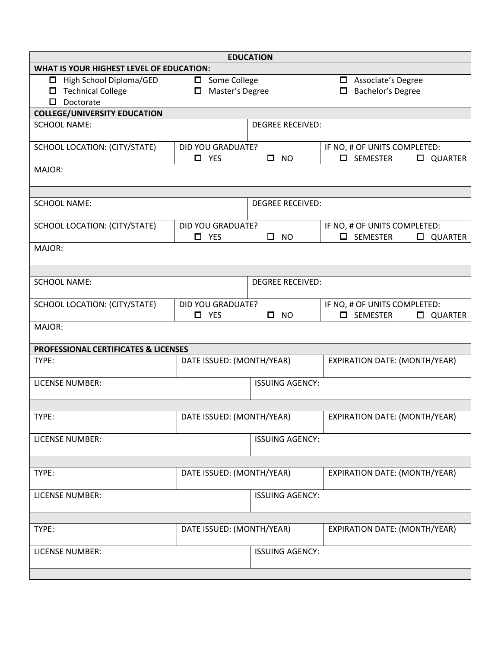| <b>EDUCATION</b>                                       |                           |                         |                                                       |  |  |
|--------------------------------------------------------|---------------------------|-------------------------|-------------------------------------------------------|--|--|
| <b>WHAT IS YOUR HIGHEST LEVEL OF EDUCATION:</b>        |                           |                         |                                                       |  |  |
| High School Diploma/GED<br>$\square$ Some College<br>□ |                           |                         | Associate's Degree<br>$\Box$                          |  |  |
| <b>Technical College</b><br>Master's Degree<br>0<br>□  |                           |                         | Bachelor's Degree<br>□                                |  |  |
| Doctorate<br>$\Box$                                    |                           |                         |                                                       |  |  |
| <b>COLLEGE/UNIVERSITY EDUCATION</b>                    |                           |                         |                                                       |  |  |
| <b>SCHOOL NAME:</b>                                    |                           | <b>DEGREE RECEIVED:</b> |                                                       |  |  |
| SCHOOL LOCATION: (CITY/STATE)                          | <b>DID YOU GRADUATE?</b>  |                         | IF NO, # OF UNITS COMPLETED:                          |  |  |
|                                                        | $\square$ YES             | $\Box$<br><b>NO</b>     | SEMESTER<br>$\Box$<br>$\Box$<br>QUARTER               |  |  |
| MAJOR:                                                 |                           |                         |                                                       |  |  |
|                                                        |                           |                         |                                                       |  |  |
| <b>SCHOOL NAME:</b>                                    |                           | <b>DEGREE RECEIVED:</b> |                                                       |  |  |
| <b>SCHOOL LOCATION: (CITY/STATE)</b>                   | DID YOU GRADUATE?         |                         | IF NO, # OF UNITS COMPLETED:                          |  |  |
|                                                        | $\Box$ YES                | $\square$ NO            | $\square$ SEMESTER<br><b>QUARTER</b>                  |  |  |
| MAJOR:                                                 |                           |                         |                                                       |  |  |
|                                                        |                           |                         |                                                       |  |  |
| <b>SCHOOL NAME:</b>                                    |                           | <b>DEGREE RECEIVED:</b> |                                                       |  |  |
| SCHOOL LOCATION: (CITY/STATE)                          | <b>DID YOU GRADUATE?</b>  |                         | IF NO, # OF UNITS COMPLETED:                          |  |  |
|                                                        | $\square$ YES             | $\Box$<br><b>NO</b>     | $\Box$<br><b>SEMESTER</b><br><b>QUARTER</b><br>$\Box$ |  |  |
| MAJOR:                                                 |                           |                         |                                                       |  |  |
| <b>PROFESSIONAL CERTIFICATES &amp; LICENSES</b>        |                           |                         |                                                       |  |  |
| TYPE:                                                  | DATE ISSUED: (MONTH/YEAR) |                         | EXPIRATION DATE: (MONTH/YEAR)                         |  |  |
| <b>LICENSE NUMBER:</b>                                 |                           | <b>ISSUING AGENCY:</b>  |                                                       |  |  |
|                                                        |                           |                         |                                                       |  |  |
| TYPE:                                                  | DATE ISSUED: (MONTH/YEAR) |                         | EXPIRATION DATE: (MONTH/YEAR)                         |  |  |
| <b>LICENSE NUMBER:</b>                                 |                           | <b>ISSUING AGENCY:</b>  |                                                       |  |  |
|                                                        |                           |                         |                                                       |  |  |
| TYPE:                                                  | DATE ISSUED: (MONTH/YEAR) |                         | EXPIRATION DATE: (MONTH/YEAR)                         |  |  |
| <b>LICENSE NUMBER:</b>                                 |                           | <b>ISSUING AGENCY:</b>  |                                                       |  |  |
|                                                        |                           |                         |                                                       |  |  |
| TYPE:                                                  | DATE ISSUED: (MONTH/YEAR) |                         | <b>EXPIRATION DATE: (MONTH/YEAR)</b>                  |  |  |
| LICENSE NUMBER:                                        |                           | <b>ISSUING AGENCY:</b>  |                                                       |  |  |
|                                                        |                           |                         |                                                       |  |  |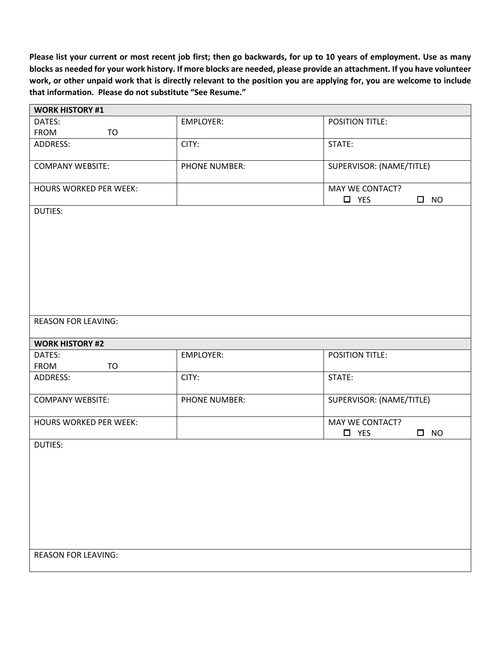**Please list your current or most recent job first; then go backwards, for up to 10 years of employment. Use as many blocks as needed for your work history. If more blocks are needed, please provide an attachment. If you have volunteer work, or other unpaid work that is directly relevant to the position you are applying for, you are welcome to include that information. Please do not substitute "See Resume."**

| <b>WORK HISTORY #1</b>        |                  |                               |
|-------------------------------|------------------|-------------------------------|
| DATES:                        | <b>EMPLOYER:</b> | POSITION TITLE:               |
| FROM<br><b>TO</b>             |                  |                               |
| ADDRESS:                      | CITY:            | STATE:                        |
|                               |                  |                               |
| <b>COMPANY WEBSITE:</b>       | PHONE NUMBER:    | SUPERVISOR: (NAME/TITLE)      |
| <b>HOURS WORKED PER WEEK:</b> |                  | MAY WE CONTACT?               |
|                               |                  | $\square$ YES<br>$\square$ NO |
| <b>DUTIES:</b>                |                  |                               |
|                               |                  |                               |
|                               |                  |                               |
|                               |                  |                               |
|                               |                  |                               |
|                               |                  |                               |
|                               |                  |                               |
|                               |                  |                               |
|                               |                  |                               |
|                               |                  |                               |
| <b>REASON FOR LEAVING:</b>    |                  |                               |
|                               |                  |                               |
|                               |                  |                               |
| <b>WORK HISTORY #2</b>        |                  |                               |
| DATES:                        | <b>EMPLOYER:</b> | POSITION TITLE:               |
| FROM<br><b>TO</b>             |                  |                               |
| ADDRESS:                      | CITY:            | STATE:                        |
|                               |                  |                               |
| <b>COMPANY WEBSITE:</b>       | PHONE NUMBER:    | SUPERVISOR: (NAME/TITLE)      |
|                               |                  |                               |
| <b>HOURS WORKED PER WEEK:</b> |                  | MAY WE CONTACT?               |
|                               |                  | $\Box$ YES<br>$\square$ NO    |
| <b>DUTIES:</b>                |                  |                               |
|                               |                  |                               |
|                               |                  |                               |
|                               |                  |                               |
|                               |                  |                               |
|                               |                  |                               |
|                               |                  |                               |
|                               |                  |                               |
|                               |                  |                               |
|                               |                  |                               |
| <b>REASON FOR LEAVING:</b>    |                  |                               |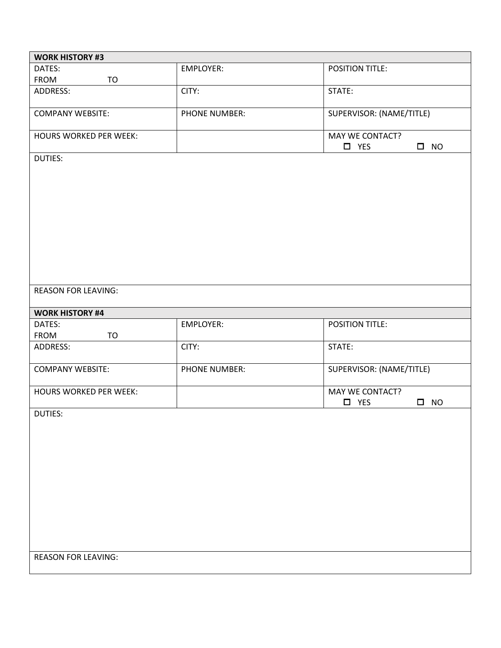| <b>WORK HISTORY #3</b>        |                      |                                                      |
|-------------------------------|----------------------|------------------------------------------------------|
| DATES:                        | <b>EMPLOYER:</b>     | POSITION TITLE:                                      |
| <b>FROM</b><br>TO             |                      |                                                      |
| ADDRESS:                      | CITY:                | STATE:                                               |
| <b>COMPANY WEBSITE:</b>       | <b>PHONE NUMBER:</b> | SUPERVISOR: (NAME/TITLE)                             |
| <b>HOURS WORKED PER WEEK:</b> |                      | MAY WE CONTACT?                                      |
|                               |                      | $\Box$ YES<br>$\square$ NO                           |
| <b>DUTIES:</b>                |                      |                                                      |
| <b>REASON FOR LEAVING:</b>    |                      |                                                      |
| <b>WORK HISTORY #4</b>        |                      |                                                      |
| DATES:                        | <b>EMPLOYER:</b>     | POSITION TITLE:                                      |
| <b>FROM</b><br>TO             |                      |                                                      |
| ADDRESS:                      | CITY:                | STATE:                                               |
| <b>COMPANY WEBSITE:</b>       | PHONE NUMBER:        | SUPERVISOR: (NAME/TITLE)                             |
| <b>HOURS WORKED PER WEEK:</b> |                      | MAY WE CONTACT?<br>$\Box$ YES<br>$\Box$<br><b>NO</b> |
| <b>DUTIES:</b>                |                      |                                                      |
| <b>REASON FOR LEAVING:</b>    |                      |                                                      |
|                               |                      |                                                      |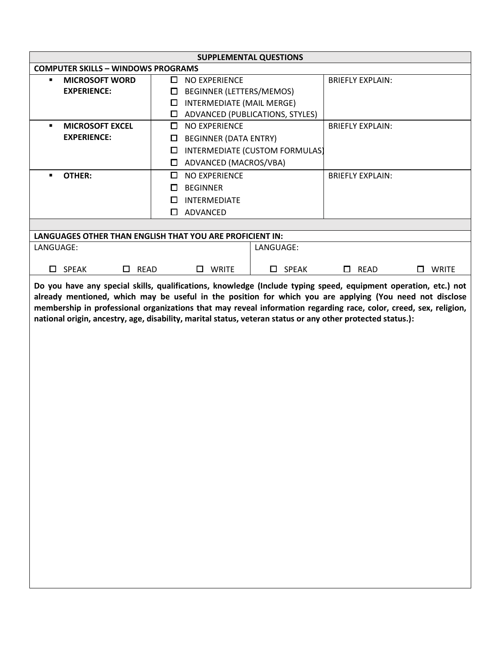| <b>COMPUTER SKILLS - WINDOWS PROGRAMS</b>                                                                                                                                                                                                                                                                                                                                                                                                                       |                               | <b>SUPPLEMENTAL QUESTIONS</b>    |                                |                         |                   |  |  |
|-----------------------------------------------------------------------------------------------------------------------------------------------------------------------------------------------------------------------------------------------------------------------------------------------------------------------------------------------------------------------------------------------------------------------------------------------------------------|-------------------------------|----------------------------------|--------------------------------|-------------------------|-------------------|--|--|
|                                                                                                                                                                                                                                                                                                                                                                                                                                                                 |                               |                                  |                                |                         |                   |  |  |
| <b>MICROSOFT WORD</b><br>٠                                                                                                                                                                                                                                                                                                                                                                                                                                      |                               | $\Box$ NO EXPERIENCE             |                                | <b>BRIEFLY EXPLAIN:</b> |                   |  |  |
| <b>EXPERIENCE:</b>                                                                                                                                                                                                                                                                                                                                                                                                                                              | BEGINNER (LETTERS/MEMOS)<br>□ |                                  |                                |                         |                   |  |  |
|                                                                                                                                                                                                                                                                                                                                                                                                                                                                 | $\Box$                        | <b>INTERMEDIATE (MAIL MERGE)</b> |                                |                         |                   |  |  |
|                                                                                                                                                                                                                                                                                                                                                                                                                                                                 | $\Box$                        | ADVANCED (PUBLICATIONS, STYLES)  |                                |                         |                   |  |  |
| <b>MICROSOFT EXCEL</b>                                                                                                                                                                                                                                                                                                                                                                                                                                          | 0                             | NO EXPERIENCE                    |                                | <b>BRIEFLY EXPLAIN:</b> |                   |  |  |
| <b>EXPERIENCE:</b>                                                                                                                                                                                                                                                                                                                                                                                                                                              | $\Box$                        | <b>BEGINNER (DATA ENTRY)</b>     |                                |                         |                   |  |  |
|                                                                                                                                                                                                                                                                                                                                                                                                                                                                 | $\Box$                        |                                  | INTERMEDIATE (CUSTOM FORMULAS) |                         |                   |  |  |
|                                                                                                                                                                                                                                                                                                                                                                                                                                                                 | $\Box$                        | ADVANCED (MACROS/VBA)            |                                |                         |                   |  |  |
| <b>OTHER:</b>                                                                                                                                                                                                                                                                                                                                                                                                                                                   | 0                             | NO EXPERIENCE                    |                                | <b>BRIEFLY EXPLAIN:</b> |                   |  |  |
|                                                                                                                                                                                                                                                                                                                                                                                                                                                                 | 0                             | <b>BEGINNER</b>                  |                                |                         |                   |  |  |
|                                                                                                                                                                                                                                                                                                                                                                                                                                                                 | □                             | INTERMEDIATE                     |                                |                         |                   |  |  |
|                                                                                                                                                                                                                                                                                                                                                                                                                                                                 |                               | □ ADVANCED                       |                                |                         |                   |  |  |
|                                                                                                                                                                                                                                                                                                                                                                                                                                                                 |                               |                                  |                                |                         |                   |  |  |
| LANGUAGES OTHER THAN ENGLISH THAT YOU ARE PROFICIENT IN:                                                                                                                                                                                                                                                                                                                                                                                                        |                               |                                  |                                |                         |                   |  |  |
| LANGUAGE:                                                                                                                                                                                                                                                                                                                                                                                                                                                       |                               |                                  | LANGUAGE:                      |                         |                   |  |  |
|                                                                                                                                                                                                                                                                                                                                                                                                                                                                 |                               |                                  |                                |                         |                   |  |  |
| $\square$ SPEAK<br>$\Box$ READ                                                                                                                                                                                                                                                                                                                                                                                                                                  |                               | <b>WRITE</b><br>$\Box$           | $\square$ SPEAK                | $\Box$ READ             | <b>WRITE</b><br>□ |  |  |
| Do you have any special skills, qualifications, knowledge (Include typing speed, equipment operation, etc.) not<br>already mentioned, which may be useful in the position for which you are applying (You need not disclose<br>membership in professional organizations that may reveal information regarding race, color, creed, sex, religion,<br>national origin, ancestry, age, disability, marital status, veteran status or any other protected status.): |                               |                                  |                                |                         |                   |  |  |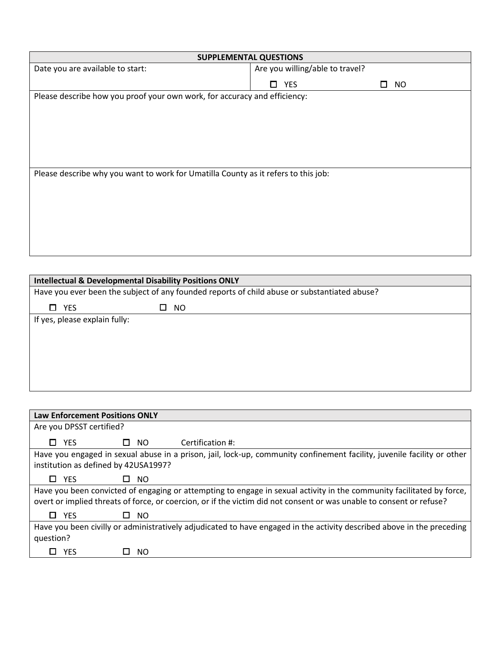| <b>SUPPLEMENTAL QUESTIONS</b>                                                                |                                 |                |  |  |  |
|----------------------------------------------------------------------------------------------|---------------------------------|----------------|--|--|--|
| Date you are available to start:                                                             | Are you willing/able to travel? |                |  |  |  |
|                                                                                              | $\Box$ YES                      | <b>NO</b><br>П |  |  |  |
| Please describe how you proof your own work, for accuracy and efficiency:                    |                                 |                |  |  |  |
|                                                                                              |                                 |                |  |  |  |
|                                                                                              |                                 |                |  |  |  |
|                                                                                              |                                 |                |  |  |  |
|                                                                                              |                                 |                |  |  |  |
|                                                                                              |                                 |                |  |  |  |
| Please describe why you want to work for Umatilla County as it refers to this job:           |                                 |                |  |  |  |
|                                                                                              |                                 |                |  |  |  |
|                                                                                              |                                 |                |  |  |  |
|                                                                                              |                                 |                |  |  |  |
|                                                                                              |                                 |                |  |  |  |
|                                                                                              |                                 |                |  |  |  |
|                                                                                              |                                 |                |  |  |  |
|                                                                                              |                                 |                |  |  |  |
| <b>Intellectual &amp; Developmental Disability Positions ONLY</b>                            |                                 |                |  |  |  |
| Have you ever been the subject of any founded reports of child abuse or substantiated abuse? |                                 |                |  |  |  |
| $\Box$ YES<br><b>NO</b><br>0                                                                 |                                 |                |  |  |  |
| If yes, please explain fully:                                                                |                                 |                |  |  |  |

| <b>Law Enforcement Positions ONLY</b> |                     |                                                                                                                                                                                                                                               |
|---------------------------------------|---------------------|-----------------------------------------------------------------------------------------------------------------------------------------------------------------------------------------------------------------------------------------------|
| Are you DPSST certified?              |                     |                                                                                                                                                                                                                                               |
| $\Box$ YES                            | $\Box$ NO           | Certification #:                                                                                                                                                                                                                              |
|                                       |                     | Have you engaged in sexual abuse in a prison, jail, lock-up, community confinement facility, juvenile facility or other                                                                                                                       |
| institution as defined by 42USA1997?  |                     |                                                                                                                                                                                                                                               |
| YES<br>П.                             | $\Box$ NO           |                                                                                                                                                                                                                                               |
|                                       |                     | Have you been convicted of engaging or attempting to engage in sexual activity in the community facilitated by force,<br>overt or implied threats of force, or coercion, or if the victim did not consent or was unable to consent or refuse? |
| $\Box$ YES                            | NO.<br>$\mathbf{L}$ |                                                                                                                                                                                                                                               |
|                                       |                     | Have you been civilly or administratively adjudicated to have engaged in the activity described above in the preceding                                                                                                                        |
| question?                             |                     |                                                                                                                                                                                                                                               |
| YFS                                   | NO.                 |                                                                                                                                                                                                                                               |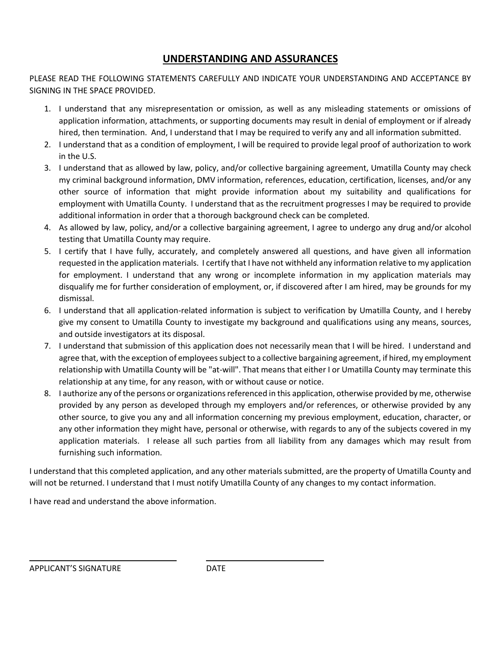# **UNDERSTANDING AND ASSURANCES**

PLEASE READ THE FOLLOWING STATEMENTS CAREFULLY AND INDICATE YOUR UNDERSTANDING AND ACCEPTANCE BY SIGNING IN THE SPACE PROVIDED.

- 1. I understand that any misrepresentation or omission, as well as any misleading statements or omissions of application information, attachments, or supporting documents may result in denial of employment or if already hired, then termination. And, I understand that I may be required to verify any and all information submitted.
- 2. I understand that as a condition of employment, I will be required to provide legal proof of authorization to work in the U.S.
- 3. I understand that as allowed by law, policy, and/or collective bargaining agreement, Umatilla County may check my criminal background information, DMV information, references, education, certification, licenses, and/or any other source of information that might provide information about my suitability and qualifications for employment with Umatilla County. I understand that as the recruitment progresses I may be required to provide additional information in order that a thorough background check can be completed.
- 4. As allowed by law, policy, and/or a collective bargaining agreement, I agree to undergo any drug and/or alcohol testing that Umatilla County may require.
- 5. I certify that I have fully, accurately, and completely answered all questions, and have given all information requested in the application materials. I certify that I have not withheld any information relative to my application for employment. I understand that any wrong or incomplete information in my application materials may disqualify me for further consideration of employment, or, if discovered after I am hired, may be grounds for my dismissal.
- 6. I understand that all application-related information is subject to verification by Umatilla County, and I hereby give my consent to Umatilla County to investigate my background and qualifications using any means, sources, and outside investigators at its disposal.
- 7. I understand that submission of this application does not necessarily mean that I will be hired. I understand and agree that, with the exception of employees subject to a collective bargaining agreement, if hired, my employment relationship with Umatilla County will be "at-will". That means that either I or Umatilla County may terminate this relationship at any time, for any reason, with or without cause or notice.
- 8. I authorize any of the persons or organizations referenced in this application, otherwise provided by me, otherwise provided by any person as developed through my employers and/or references, or otherwise provided by any other source, to give you any and all information concerning my previous employment, education, character, or any other information they might have, personal or otherwise, with regards to any of the subjects covered in my application materials. I release all such parties from all liability from any damages which may result from furnishing such information.

I understand that this completed application, and any other materials submitted, are the property of Umatilla County and will not be returned. I understand that I must notify Umatilla County of any changes to my contact information.

I have read and understand the above information.

APPLICANT'S SIGNATURE DATE

L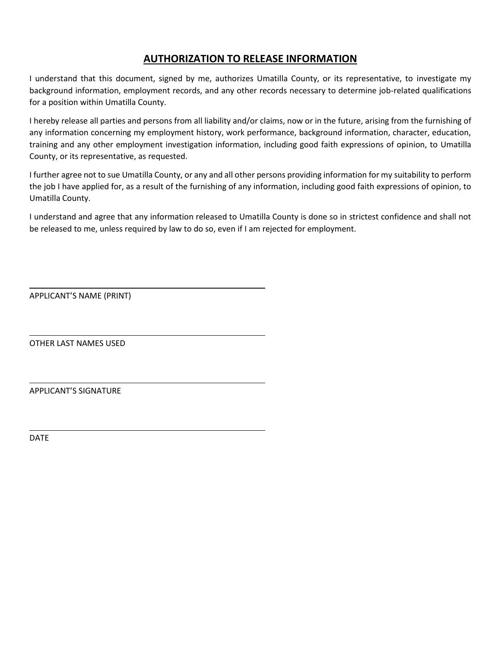# **AUTHORIZATION TO RELEASE INFORMATION**

I understand that this document, signed by me, authorizes Umatilla County, or its representative, to investigate my background information, employment records, and any other records necessary to determine job-related qualifications for a position within Umatilla County.

I hereby release all parties and persons from all liability and/or claims, now or in the future, arising from the furnishing of any information concerning my employment history, work performance, background information, character, education, training and any other employment investigation information, including good faith expressions of opinion, to Umatilla County, or its representative, as requested.

I further agree not to sue Umatilla County, or any and all other persons providing information for my suitability to perform the job I have applied for, as a result of the furnishing of any information, including good faith expressions of opinion, to Umatilla County.

I understand and agree that any information released to Umatilla County is done so in strictest confidence and shall not be released to me, unless required by law to do so, even if I am rejected for employment.

APPLICANT'S NAME (PRINT)

OTHER LAST NAMES USED

APPLICANT'S SIGNATURE

DATE

 $\overline{\phantom{0}}$ 

L

 $\overline{\phantom{0}}$ 

L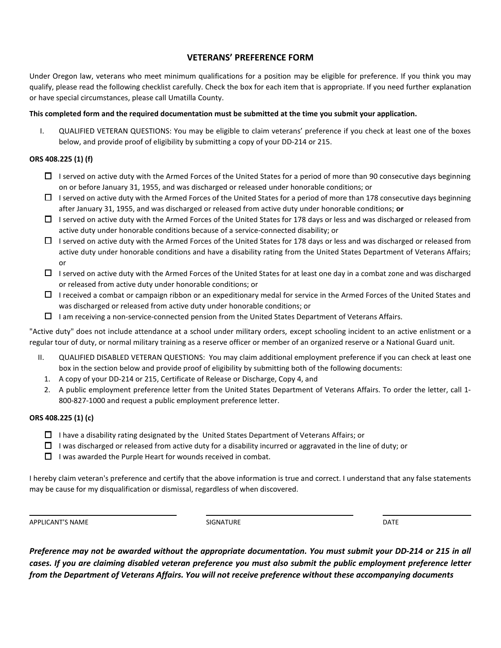#### **VETERANS' PREFERENCE FORM**

Under Oregon law, veterans who meet minimum qualifications for a position may be eligible for preference. If you think you may qualify, please read the following checklist carefully. Check the box for each item that is appropriate. If you need further explanation or have special circumstances, please call Umatilla County.

#### **This completed form and the required documentation must be submitted at the time you submit your application.**

I. QUALIFIED VETERAN QUESTIONS: You may be eligible to claim veterans' preference if you check at least one of the boxes below, and provide proof of eligibility by submitting a copy of your DD‐214 or 215.

#### **ORS 408.225 (1) (f)**

- $\Box$  I served on active duty with the Armed Forces of the United States for a period of more than 90 consecutive days beginning on or before January 31, 1955, and was discharged or released under honorable conditions; or
- $\Box$  I served on active duty with the Armed Forces of the United States for a period of more than 178 consecutive days beginning after January 31, 1955, and was discharged or released from active duty under honorable conditions; **or**
- $\Box$  I served on active duty with the Armed Forces of the United States for 178 days or less and was discharged or released from active duty under honorable conditions because of a service‐connected disability; or
- $\Box$  I served on active duty with the Armed Forces of the United States for 178 days or less and was discharged or released from active duty under honorable conditions and have a disability rating from the United States Department of Veterans Affairs; or
- $\Box$  I served on active duty with the Armed Forces of the United States for at least one day in a combat zone and was discharged or released from active duty under honorable conditions; or
- $\Box$  I received a combat or campaign ribbon or an expeditionary medal for service in the Armed Forces of the United States and was discharged or released from active duty under honorable conditions; or
- $\Box$  I am receiving a non-service-connected pension from the United States Department of Veterans Affairs.

"Active duty" does not include attendance at a school under military orders, except schooling incident to an active enlistment or a regular tour of duty, or normal military training as a reserve officer or member of an organized reserve or a National Guard unit.

- II. QUALIFIED DISABLED VETERAN QUESTIONS: You may claim additional employment preference if you can check at least one box in the section below and provide proof of eligibility by submitting both of the following documents:
	- 1. A copy of your DD‐214 or 215, Certificate of Release or Discharge, Copy 4, and
	- 2. A public employment preference letter from the United States Department of Veterans Affairs. To order the letter, call 1-800-827-1000 and request a public employment preference letter.

#### **ORS 408.225 (1) (c)**

- $\Box$  I have a disability rating designated by the United States Department of Veterans Affairs; or
- $\Box$  I was discharged or released from active duty for a disability incurred or aggravated in the line of duty; or
- $\Box$  I was awarded the Purple Heart for wounds received in combat.

I hereby claim veteran's preference and certify that the above information is true and correct. I understand that any false statements may be cause for my disqualification or dismissal, regardless of when discovered.

APPLICANT'S NAME DATE SIGNATURE SIGNATURE THE SIGNATURE OF THE SIGNATURE OF THE SIGNATURE OF THE SIGNATURE OF THE SIGNATURE OF THE SIGNATURE OF THE SIGNATURE OF THE SIGNATURE OF THE SIGNATURE OF THE SIGNATURE OF THE SIGNAT

 $\overline{\phantom{0}}$ 

*Preference may not be awarded without the appropriate documentation. You must submit your DD‐214 or 215 in all cases. If you are claiming disabled veteran preference you must also submit the public employment preference letter from the Department of Veterans Affairs. You will not receive preference without these accompanying documents*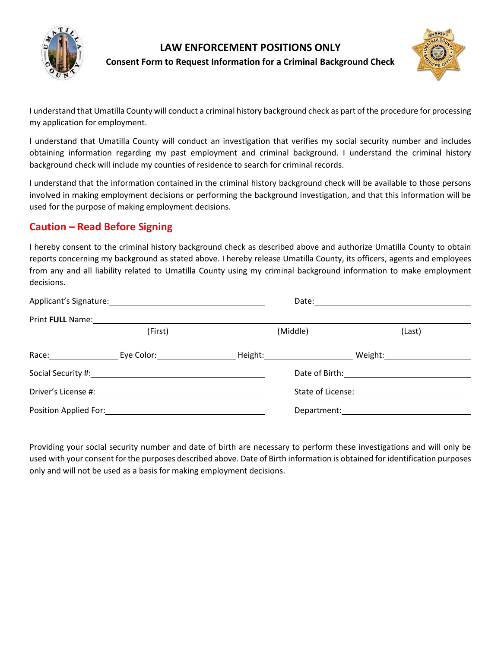

## **LAW ENFORCEMENT POSITIONS ONLY Consent Form to Request Information for a Criminal Background Check**



I understand that Umatilla County will conduct a criminal history background check as part of the procedure for processing my application for employment.

I understand that Umatilla County will conduct an investigation that verifies my social security number and includes obtaining information regarding my past employment and criminal background. I understand the criminal history background check will include my counties of residence to search for criminal records.

I understand that the information contained in the criminal history background check will be available to those persons involved in making employment decisions or performing the background investigation, and that this information will be used for the purpose of making employment decisions.

# **Caution – Read Before Signing**

I hereby consent to the criminal history background check as described above and authorize Umatilla County to obtain reports concerning my background as stated above. I hereby release Umatilla County, its officers, agents and employees from any and all liability related to Umatilla County using my criminal background information to make employment decisions.

|                  |                                                                                                                                                                                                                                |                             | Date: <u>_________________________</u>                                                                                                                                                                                         |                     |  |
|------------------|--------------------------------------------------------------------------------------------------------------------------------------------------------------------------------------------------------------------------------|-----------------------------|--------------------------------------------------------------------------------------------------------------------------------------------------------------------------------------------------------------------------------|---------------------|--|
| Print FULL Name: |                                                                                                                                                                                                                                |                             |                                                                                                                                                                                                                                |                     |  |
|                  | (First)                                                                                                                                                                                                                        | (Middle)                    |                                                                                                                                                                                                                                | (Last)              |  |
|                  | Race: Letter Leve Color: Level Color:                                                                                                                                                                                          | _ Height:__________________ |                                                                                                                                                                                                                                | Weight:____________ |  |
|                  |                                                                                                                                                                                                                                |                             | Date of Birth: The Case of Birth:                                                                                                                                                                                              |                     |  |
|                  | Driver's License #: New York 2014                                                                                                                                                                                              |                             | State of License:                                                                                                                                                                                                              |                     |  |
|                  | Position Applied For: Note that the set of the set of the set of the set of the set of the set of the set of the set of the set of the set of the set of the set of the set of the set of the set of the set of the set of the |                             | Department: the contract of the contract of the contract of the contract of the contract of the contract of the contract of the contract of the contract of the contract of the contract of the contract of the contract of th |                     |  |

Providing your social security number and date of birth are necessary to perform these investigations and will only be used with your consent for the purposes described above. Date of Birth information is obtained for identification purposes only and will not be used as a basis for making employment decisions.